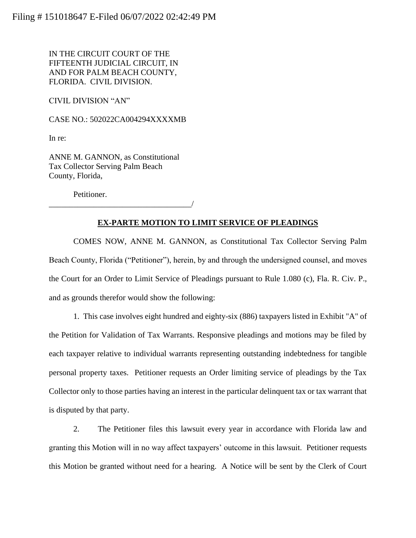IN THE CIRCUIT COURT OF THE FIFTEENTH JUDICIAL CIRCUIT, IN AND FOR PALM BEACH COUNTY, FLORIDA. CIVIL DIVISION.

CIVIL DIVISION "AN"

CASE NO.: 502022CA004294XXXXMB

In re:

ANNE M. GANNON, as Constitutional Tax Collector Serving Palm Beach County, Florida,

Petitioner.

\_\_\_\_\_\_\_\_\_\_\_\_\_\_\_\_\_\_\_\_\_\_\_\_\_\_\_\_\_\_\_\_\_\_\_/

## **EX-PARTE MOTION TO LIMIT SERVICE OF PLEADINGS**

COMES NOW, ANNE M. GANNON, as Constitutional Tax Collector Serving Palm Beach County, Florida ("Petitioner"), herein, by and through the undersigned counsel, and moves the Court for an Order to Limit Service of Pleadings pursuant to Rule 1.080 (c), Fla. R. Civ. P., and as grounds therefor would show the following:

1. This case involves eight hundred and eighty-six (886) taxpayers listed in Exhibit "A" of the Petition for Validation of Tax Warrants. Responsive pleadings and motions may be filed by each taxpayer relative to individual warrants representing outstanding indebtedness for tangible personal property taxes. Petitioner requests an Order limiting service of pleadings by the Tax Collector only to those parties having an interest in the particular delinquent tax or tax warrant that is disputed by that party.

2. The Petitioner files this lawsuit every year in accordance with Florida law and granting this Motion will in no way affect taxpayers' outcome in this lawsuit. Petitioner requests this Motion be granted without need for a hearing. A Notice will be sent by the Clerk of Court